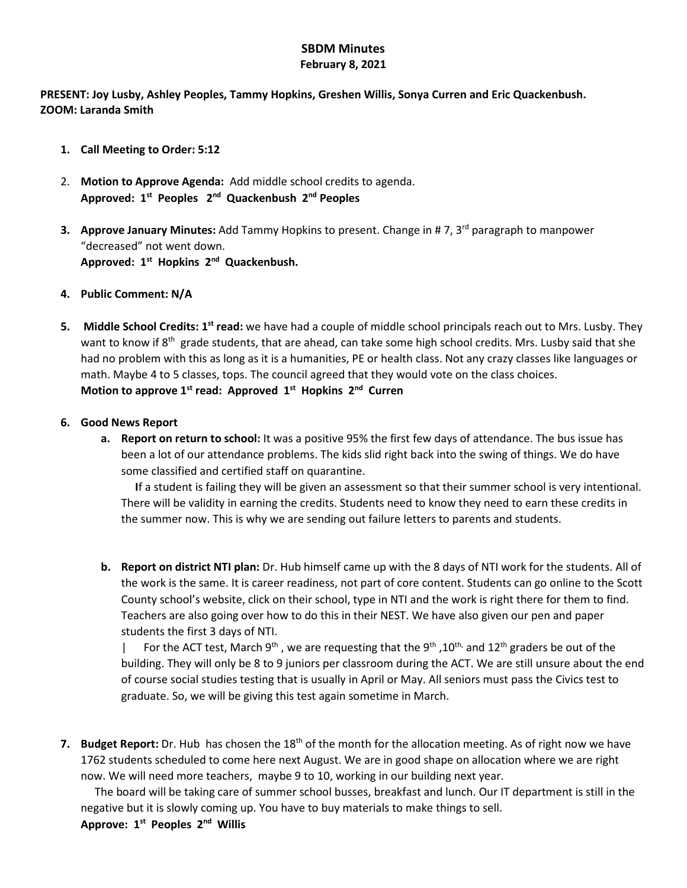## **SBDM Minutes February 8, 2021**

**PRESENT: Joy Lusby, Ashley Peoples, Tammy Hopkins, Greshen Willis, Sonya Curren and Eric Quackenbush. ZOOM: Laranda Smith**

- **1. Call Meeting to Order: 5:12**
- 2. **Motion to Approve Agenda:** Add middle school credits to agenda. **Approved: 1st Peoples 2nd Quackenbush 2nd Peoples**
- **3. Approve January Minutes:** Add Tammy Hopkins to present. Change in #7, 3<sup>rd</sup> paragraph to manpower "decreased" not went down. **Approved: 1st Hopkins 2nd Quackenbush.**
- **4. Public Comment: N/A**
- **5. Middle School Credits: 1st read:** we have had a couple of middle school principals reach out to Mrs. Lusby. They want to know if  $8<sup>th</sup>$  grade students, that are ahead, can take some high school credits. Mrs. Lusby said that she had no problem with this as long as it is a humanities, PE or health class. Not any crazy classes like languages or math. Maybe 4 to 5 classes, tops. The council agreed that they would vote on the class choices. **Motion to approve 1st read: Approved 1st Hopkins 2nd Curren**
- **6. Good News Report**
	- **a. Report on return to school:** It was a positive 95% the first few days of attendance. The bus issue has been a lot of our attendance problems. The kids slid right back into the swing of things. We do have some classified and certified staff on quarantine.

 **I**f a student is failing they will be given an assessment so that their summer school is very intentional. There will be validity in earning the credits. Students need to know they need to earn these credits in the summer now. This is why we are sending out failure letters to parents and students.

**b. Report on district NTI plan:** Dr. Hub himself came up with the 8 days of NTI work for the students. All of the work is the same. It is career readiness, not part of core content. Students can go online to the Scott County school's website, click on their school, type in NTI and the work is right there for them to find. Teachers are also going over how to do this in their NEST. We have also given our pen and paper students the first 3 days of NTI.

| For the ACT test, March 9<sup>th</sup>, we are requesting that the 9<sup>th</sup>, 10<sup>th,</sup> and 12<sup>th</sup> graders be out of the building. They will only be 8 to 9 juniors per classroom during the ACT. We are still unsure about the end of course social studies testing that is usually in April or May. All seniors must pass the Civics test to graduate. So, we will be giving this test again sometime in March.

**7. Budget Report:** Dr. Hub has chosen the 18<sup>th</sup> of the month for the allocation meeting. As of right now we have 1762 students scheduled to come here next August. We are in good shape on allocation where we are right now. We will need more teachers, maybe 9 to 10, working in our building next year.

The board will be taking care of summer school busses, breakfast and lunch. Our IT department is still in the negative but it is slowly coming up. You have to buy materials to make things to sell.

## **Approve: 1st Peoples 2nd Willis**